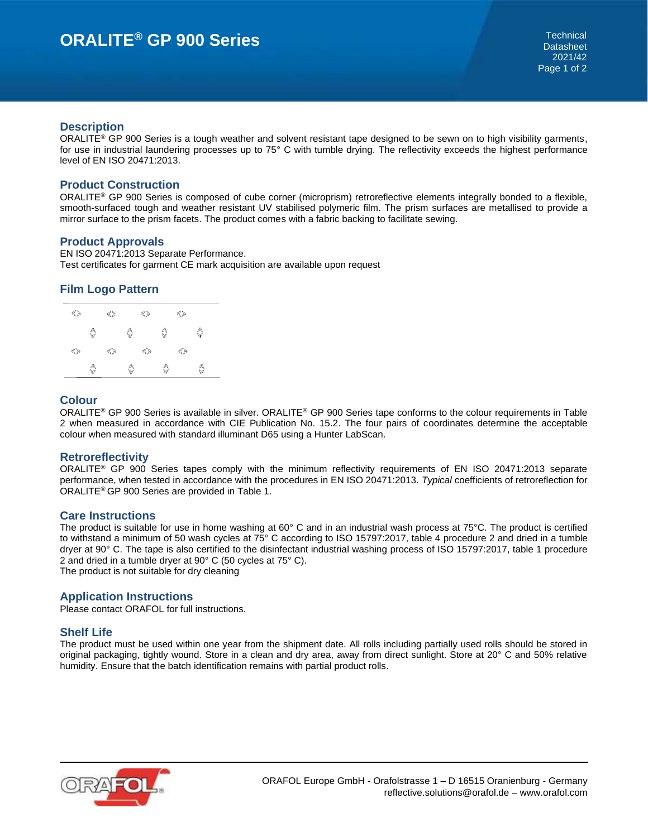#### **Description**

ORALITE<sup>®</sup> GP 900 Series is a tough weather and solvent resistant tape designed to be sewn on to high visibility garments, for use in industrial laundering processes up to 75° C with tumble drying. The reflectivity exceeds the highest performance level of EN ISO 20471:2013.

# **Product Construction**

ORALITE® GP 900 Series is composed of cube corner (microprism) retroreflective elements integrally bonded to a flexible, smooth-surfaced tough and weather resistant UV stabilised polymeric film. The prism surfaces are metallised to provide a mirror surface to the prism facets. The product comes with a fabric backing to facilitate sewing.

#### **Product Approvals**

EN ISO 20471:2013 Separate Performance. Test certificates for garment CE mark acquisition are available upon request

# **Film Logo Pattern**

| ≼≽ |   | ≼≽ |   | ≼≽ |   | ≼≽ |   |
|----|---|----|---|----|---|----|---|
|    | ♦ |    | ♦ |    | ♦ |    | ♦ |
| ≼≽ |   | ≼≽ |   | ≼≽ |   | ≼≽ |   |
|    | ♦ |    | ♦ |    | ♦ |    | ♦ |

# **Colour**

ORALITE® GP 900 Series is available in silver. ORALITE® GP 900 Series tape conforms to the colour requirements in Table 2 when measured in accordance with CIE Publication No. 15.2. The four pairs of coordinates determine the acceptable colour when measured with standard illuminant D65 using a Hunter LabScan.

## **Retroreflectivity**

ORALITE® GP 900 Series tapes comply with the minimum reflectivity requirements of EN ISO 20471:2013 separate performance, when tested in accordance with the procedures in EN ISO 20471:2013. *Typical* coefficients of retroreflection for ORALITE® GP 900 Series are provided in Table 1.

## **Care Instructions**

The product is suitable for use in home washing at 60° C and in an industrial wash process at 75°C. The product is certified to withstand a minimum of 50 wash cycles at 75° C according to ISO 15797:2017, table 4 procedure 2 and dried in a tumble dryer at 90° C. The tape is also certified to the disinfectant industrial washing process of ISO 15797:2017, table 1 procedure 2 and dried in a tumble dryer at 90° C (50 cycles at 75° C). The product is not suitable for dry cleaning

# **Application Instructions**

Please contact ORAFOL for full instructions.

## **Shelf Life**

The product must be used within one year from the shipment date. All rolls including partially used rolls should be stored in original packaging, tightly wound. Store in a clean and dry area, away from direct sunlight. Store at 20° C and 50% relative humidity. Ensure that the batch identification remains with partial product rolls.